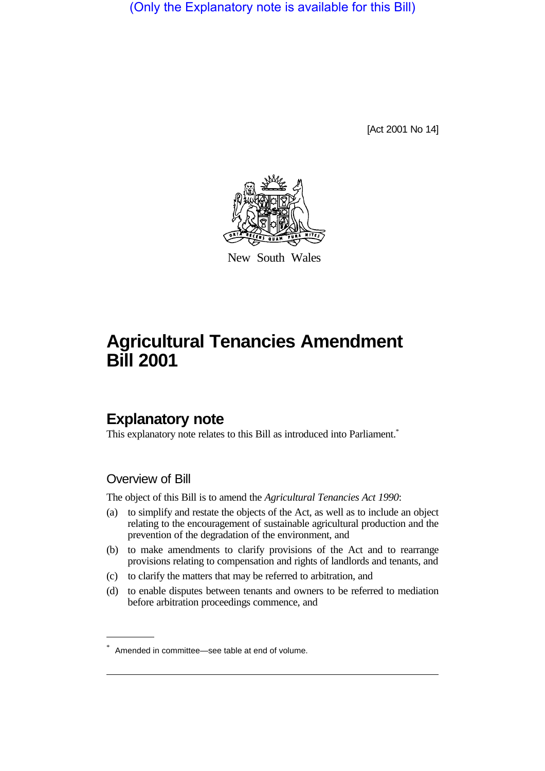(Only the Explanatory note is available for this Bill)

[Act 2001 No 14]



New South Wales

# **Agricultural Tenancies Amendment Bill 2001**

# **Explanatory note**

This explanatory note relates to this Bill as introduced into Parliament.<sup>\*</sup>

## Overview of Bill

The object of this Bill is to amend the *Agricultural Tenancies Act 1990*:

- (a) to simplify and restate the objects of the Act, as well as to include an object relating to the encouragement of sustainable agricultural production and the prevention of the degradation of the environment, and
- (b) to make amendments to clarify provisions of the Act and to rearrange provisions relating to compensation and rights of landlords and tenants, and
- (c) to clarify the matters that may be referred to arbitration, and
- (d) to enable disputes between tenants and owners to be referred to mediation before arbitration proceedings commence, and

<sup>\*</sup> Amended in committee—see table at end of volume.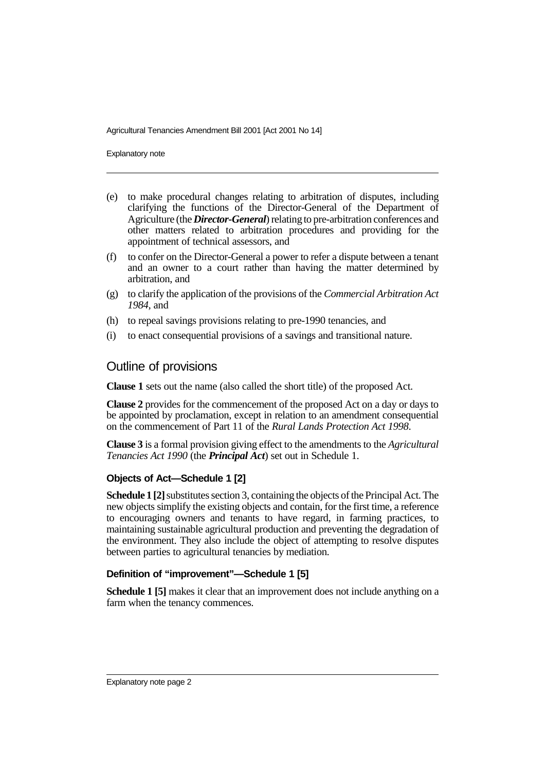Explanatory note

- (e) to make procedural changes relating to arbitration of disputes, including clarifying the functions of the Director-General of the Department of Agriculture (the *Director-General*) relating to pre-arbitration conferences and other matters related to arbitration procedures and providing for the appointment of technical assessors, and
- (f) to confer on the Director-General a power to refer a dispute between a tenant and an owner to a court rather than having the matter determined by arbitration, and
- (g) to clarify the application of the provisions of the *Commercial Arbitration Act 1984*, and
- (h) to repeal savings provisions relating to pre-1990 tenancies, and
- (i) to enact consequential provisions of a savings and transitional nature.

## Outline of provisions

**Clause 1** sets out the name (also called the short title) of the proposed Act.

**Clause 2** provides for the commencement of the proposed Act on a day or days to be appointed by proclamation, except in relation to an amendment consequential on the commencement of Part 11 of the *Rural Lands Protection Act 1998*.

**Clause 3** is a formal provision giving effect to the amendments to the *Agricultural Tenancies Act 1990* (the *Principal Act*) set out in Schedule 1.

## **Objects of Act—Schedule 1 [2]**

**Schedule 1 [2]** substitutes section 3, containing the objects of the Principal Act. The new objects simplify the existing objects and contain, for the first time, a reference to encouraging owners and tenants to have regard, in farming practices, to maintaining sustainable agricultural production and preventing the degradation of the environment. They also include the object of attempting to resolve disputes between parties to agricultural tenancies by mediation.

## **Definition of "improvement"—Schedule 1 [5]**

**Schedule 1 [5]** makes it clear that an improvement does not include anything on a farm when the tenancy commences.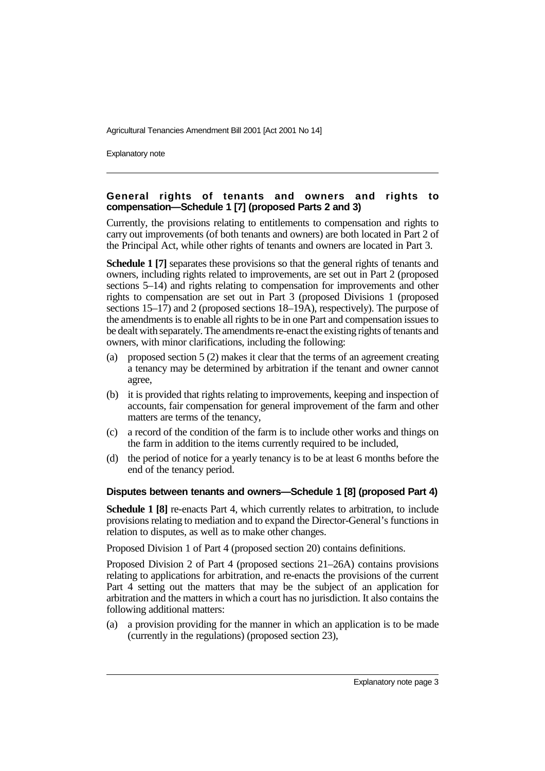Explanatory note

## **General rights of tenants and owners and rights to compensation—Schedule 1 [7] (proposed Parts 2 and 3)**

Currently, the provisions relating to entitlements to compensation and rights to carry out improvements (of both tenants and owners) are both located in Part 2 of the Principal Act, while other rights of tenants and owners are located in Part 3.

**Schedule 1 [7]** separates these provisions so that the general rights of tenants and owners, including rights related to improvements, are set out in Part 2 (proposed sections 5–14) and rights relating to compensation for improvements and other rights to compensation are set out in Part 3 (proposed Divisions 1 (proposed sections  $15-17$ ) and 2 (proposed sections  $18-19A$ ), respectively). The purpose of the amendments is to enable all rights to be in one Part and compensation issues to be dealt with separately. The amendments re-enact the existing rights of tenants and owners, with minor clarifications, including the following:

- (a) proposed section 5 (2) makes it clear that the terms of an agreement creating a tenancy may be determined by arbitration if the tenant and owner cannot agree,
- (b) it is provided that rights relating to improvements, keeping and inspection of accounts, fair compensation for general improvement of the farm and other matters are terms of the tenancy,
- (c) a record of the condition of the farm is to include other works and things on the farm in addition to the items currently required to be included,
- (d) the period of notice for a yearly tenancy is to be at least 6 months before the end of the tenancy period.

## **Disputes between tenants and owners—Schedule 1 [8] (proposed Part 4)**

**Schedule 1 [8]** re-enacts Part 4, which currently relates to arbitration, to include provisions relating to mediation and to expand the Director-General's functions in relation to disputes, as well as to make other changes.

Proposed Division 1 of Part 4 (proposed section 20) contains definitions.

Proposed Division 2 of Part 4 (proposed sections 21–26A) contains provisions relating to applications for arbitration, and re-enacts the provisions of the current Part 4 setting out the matters that may be the subject of an application for arbitration and the matters in which a court has no jurisdiction. It also contains the following additional matters:

(a) a provision providing for the manner in which an application is to be made (currently in the regulations) (proposed section 23),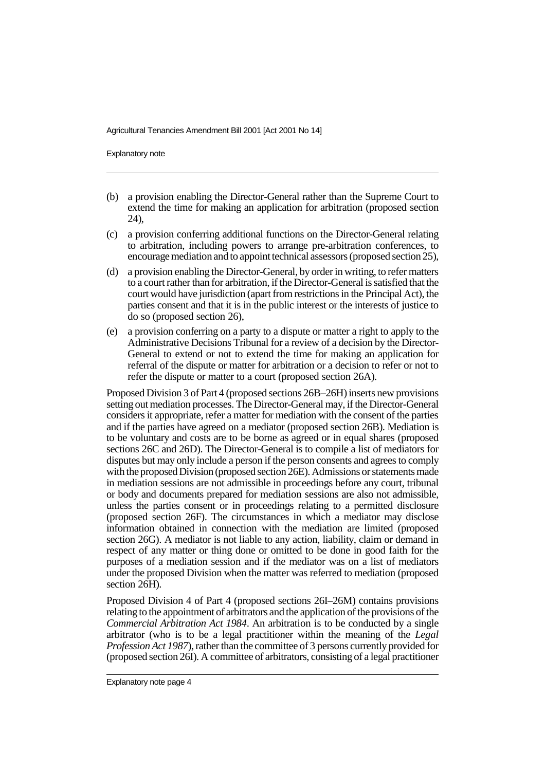Explanatory note

- (b) a provision enabling the Director-General rather than the Supreme Court to extend the time for making an application for arbitration (proposed section 24),
- (c) a provision conferring additional functions on the Director-General relating to arbitration, including powers to arrange pre-arbitration conferences, to encourage mediation and to appoint technical assessors (proposed section 25),
- (d) a provision enabling the Director-General, by order in writing, to refer matters to a court rather than for arbitration, if the Director-General is satisfied that the court would have jurisdiction (apart from restrictions in the Principal Act), the parties consent and that it is in the public interest or the interests of justice to do so (proposed section 26),
- (e) a provision conferring on a party to a dispute or matter a right to apply to the Administrative Decisions Tribunal for a review of a decision by the Director-General to extend or not to extend the time for making an application for referral of the dispute or matter for arbitration or a decision to refer or not to refer the dispute or matter to a court (proposed section 26A).

Proposed Division 3 of Part 4 (proposed sections 26B–26H) inserts new provisions setting out mediation processes. The Director-General may, if the Director-General considers it appropriate, refer a matter for mediation with the consent of the parties and if the parties have agreed on a mediator (proposed section 26B). Mediation is to be voluntary and costs are to be borne as agreed or in equal shares (proposed sections 26C and 26D). The Director-General is to compile a list of mediators for disputes but may only include a person if the person consents and agrees to comply with the proposed Division (proposed section 26E). Admissions or statements made in mediation sessions are not admissible in proceedings before any court, tribunal or body and documents prepared for mediation sessions are also not admissible, unless the parties consent or in proceedings relating to a permitted disclosure (proposed section 26F). The circumstances in which a mediator may disclose information obtained in connection with the mediation are limited (proposed section 26G). A mediator is not liable to any action, liability, claim or demand in respect of any matter or thing done or omitted to be done in good faith for the purposes of a mediation session and if the mediator was on a list of mediators under the proposed Division when the matter was referred to mediation (proposed section 26H).

Proposed Division 4 of Part 4 (proposed sections 26I–26M) contains provisions relating to the appointment of arbitrators and the application of the provisions of the *Commercial Arbitration Act 1984*. An arbitration is to be conducted by a single arbitrator (who is to be a legal practitioner within the meaning of the *Legal Profession Act 1987*), rather than the committee of 3 persons currently provided for (proposed section 26I). A committee of arbitrators, consisting of a legal practitioner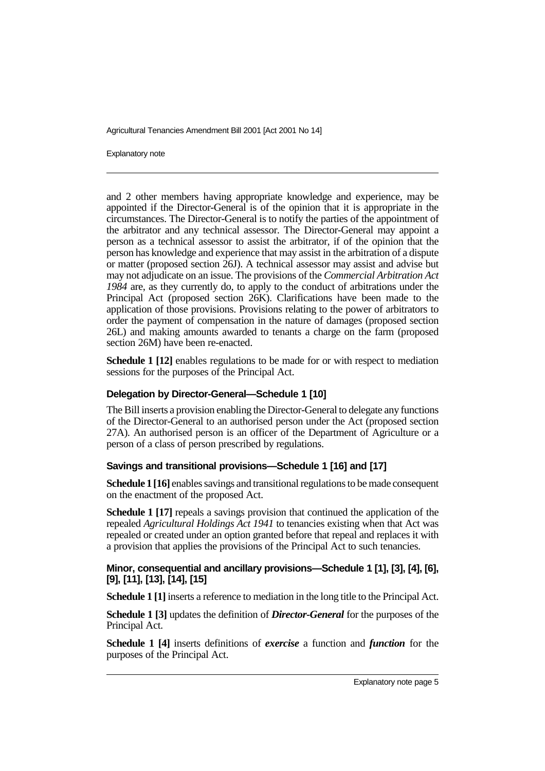Explanatory note

and 2 other members having appropriate knowledge and experience, may be appointed if the Director-General is of the opinion that it is appropriate in the circumstances. The Director-General is to notify the parties of the appointment of the arbitrator and any technical assessor. The Director-General may appoint a person as a technical assessor to assist the arbitrator, if of the opinion that the person has knowledge and experience that may assist in the arbitration of a dispute or matter (proposed section 26J). A technical assessor may assist and advise but may not adjudicate on an issue. The provisions of the *Commercial Arbitration Act 1984* are, as they currently do, to apply to the conduct of arbitrations under the Principal Act (proposed section 26K). Clarifications have been made to the application of those provisions. Provisions relating to the power of arbitrators to order the payment of compensation in the nature of damages (proposed section 26L) and making amounts awarded to tenants a charge on the farm (proposed section 26M) have been re-enacted.

**Schedule 1 [12]** enables regulations to be made for or with respect to mediation sessions for the purposes of the Principal Act.

#### **Delegation by Director-General—Schedule 1 [10]**

The Bill inserts a provision enabling the Director-General to delegate any functions of the Director-General to an authorised person under the Act (proposed section 27A). An authorised person is an officer of the Department of Agriculture or a person of a class of person prescribed by regulations.

#### **Savings and transitional provisions—Schedule 1 [16] and [17]**

**Schedule 1 [16]** enables savings and transitional regulations to be made consequent on the enactment of the proposed Act.

**Schedule 1 [17]** repeals a savings provision that continued the application of the repealed *Agricultural Holdings Act 1941* to tenancies existing when that Act was repealed or created under an option granted before that repeal and replaces it with a provision that applies the provisions of the Principal Act to such tenancies.

## **Minor, consequential and ancillary provisions—Schedule 1 [1], [3], [4], [6], [9], [11], [13], [14], [15]**

**Schedule 1 [1]** inserts a reference to mediation in the long title to the Principal Act.

**Schedule 1 [3]** updates the definition of *Director-General* for the purposes of the Principal Act.

**Schedule 1 [4]** inserts definitions of *exercise* a function and *function* for the purposes of the Principal Act.